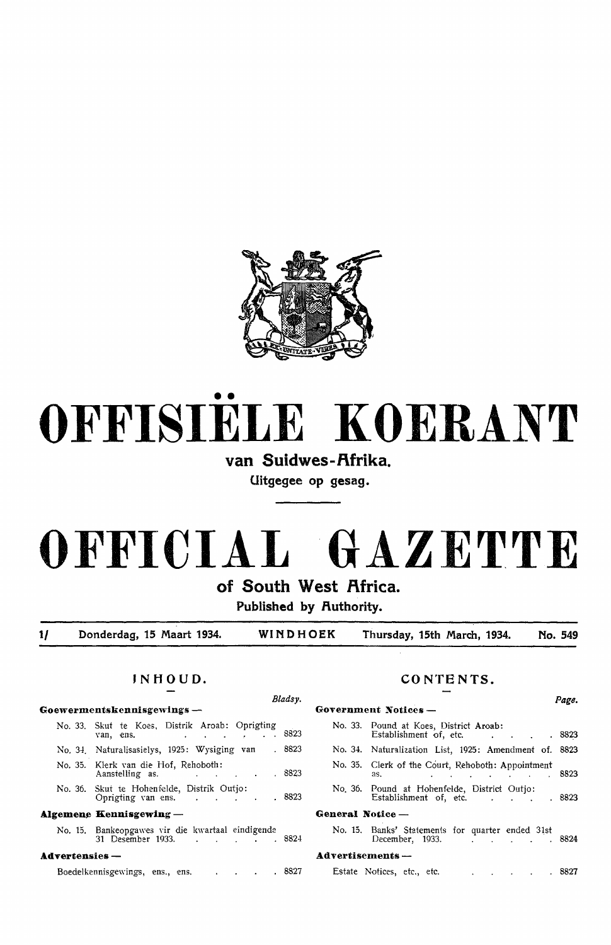

# •• **0 FFISIELE KO ER.ANT**

## van Suidwes-Afrika.

**Uitgegee op gesag.** 

# **OFFICIAL GAZETTE**

**of South West Rfrica.** 

Published by Authority.

**1/ Donderdag, 15 Maart 1934. WINDHOEK Thursday, 15th March, 1934. No. 549** 

## Goewermentskennisgewings -- **Government Communister**

No. 33. Skut te Koes, Distrik Aroab: Oprigting van, ens. . . . . . . . 8823 No. 34. Naturalisasielys, 1925: Wysiging van 8823 No. 35. Klerk van die Hof, Rehoboth:<br>Aanstelling as. 8823 Aanstelling as. No. 36. Skut te Hohenfelde, Distrik Outjo: 8823 Oprigting van ens.  $\mathcal{A}^{\mathcal{A}}$  and  $\mathcal{A}^{\mathcal{A}}$  and  $\mathcal{A}^{\mathcal{A}}$ 

### **Algemene Kennisgewing -- General Constants of General Notation Constants Constants Constants Constants Constants Constants Constants Constants Constants Constants Constants Constants Constants Constants Constants Constant**

No. 15. Bankeopgawes Yir die k\\"artaal eindigende No. 15. Banks' Statements for quarter ended 31st

#### **AdTertensies - Advertisements** -

Boedelkennisgewings, ens., ens. . . . . . 8827

## **JNHOUD. CONTENTS.**

| <b>Government Notices -</b>                                                                                                                                                                                                                                              |                                                                                                               |
|--------------------------------------------------------------------------------------------------------------------------------------------------------------------------------------------------------------------------------------------------------------------------|---------------------------------------------------------------------------------------------------------------|
| No. 33. Pound at Koes, District Aroab:<br>Establishment of, etc. The contract of the contract of the contract of the contract of the contract of the contract of the contract of the contract of the contract of the contract of the contract of the contract of the con |                                                                                                               |
|                                                                                                                                                                                                                                                                          |                                                                                                               |
| No. 35. Clerk of the Court, Rehoboth: Appointment<br>as.<br>and the company of the company of the                                                                                                                                                                        |                                                                                                               |
| No. 36. Pound at Hohenfelde, District Outjo:<br>Establishment of, etc.                                                                                                                                                                                                   |                                                                                                               |
| General Notice -                                                                                                                                                                                                                                                         |                                                                                                               |
| No. 15. Banks' Statements for quarter ended 31st<br>December, 1933.                                                                                                                                                                                                      |                                                                                                               |
| $Advert isements -$                                                                                                                                                                                                                                                      |                                                                                                               |
|                                                                                                                                                                                                                                                                          |                                                                                                               |
|                                                                                                                                                                                                                                                                          | Page.<br>. 8823<br>No. 34. Naturalization List, 1925: Amendment of. 8823<br>8823<br>. 8823<br>. 8824<br>.8827 |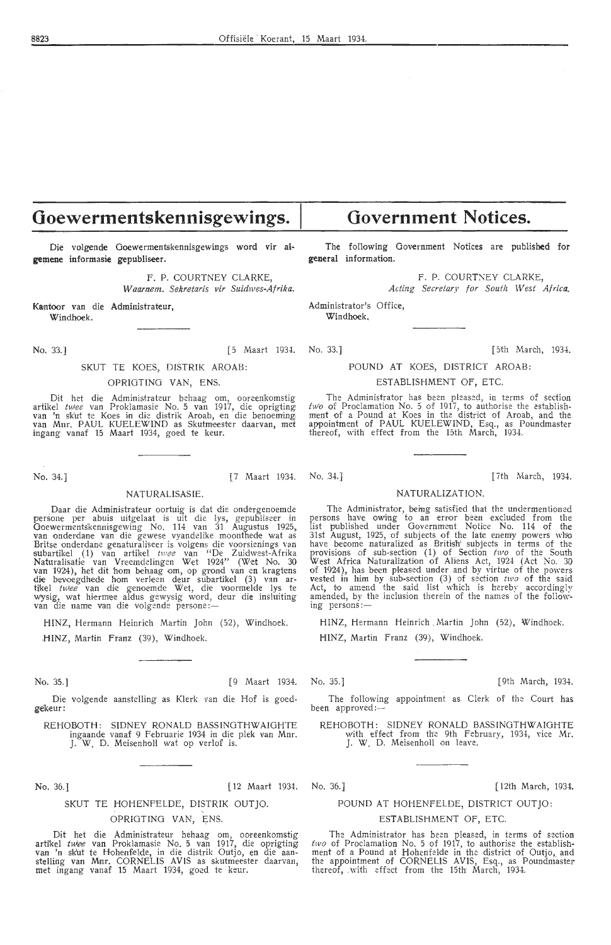# **Ooewermentskennisgewings.**

Die volgende Ooewermentskennisgewings word vir al**gemene** informasie gepubliseer.

> F. P. COURTNEY CLARKE, *Waamem. Sekretaris vir Suidwes-Afrika.*

Kantoor van die Administrateur. Windhoek.

#### SKUT TE KOES, DISTRIK AROAB:

#### OPRIOTING VAN, ENS.

Dit het die Administrateur behaag om, ooreenkomstig<br>artikel *twee* van Proklamasie No. 5 van 1917, die oprigting<br>van 'n skut te Koes in die distrik Aroab, en die benoeming<br>van Mnr. PAUL KUELEWIND as Skutmeester daarvan, me ingang vanaf 15 Maart 1934, goed te keur.

#### NATURALISASIE.

Daar die Administrateur oortuig is dat die ondergenoemde persone per abuis uitgelaat is uit die lys, gepubliseer in Goewermentskennisgewing No. 114 van 31 Augustus 1925,<br>van onderdane van die gewese vyandelike moonthede wat as<br>Britse onderdane genaturaliseer is volgens die voorsienings van<br>subartikel (1) van artikel *twee* van "De Zuidw Naturalisatie van Vreemdelingen Wet 1924" (Wet No. 30<br>van 1924), het dit hom behaag om, op grond van en kragtens<br>die bevoegdhede hom verleen deur subartikel (3) van artikel<br>tikel *twee* van die genoemde Wet, die voormelde

HINZ, Hermann Heinrich Martin John (52), Windhoek. **. HINZ,** Martin Franz (39 ), Windhoek.

No. 35.] [ 9 Maart 1934. No. 35.] [ 9th March, 1934.

Die volgende aanstelling as Klerk van die Hof is goed-gekeur:

REHOBOTH: SIDNEY RONALD BASSINGTHWAIGHTE ingaande vanaf 9 Februarie 1934 in die plek van Mnr. J. W. D. MeisenhoH wat op verlof is.

No. 36.] [ 12 Maart 1934.

#### SKUT TE HOHENFELDE, DISTRIK OUT JO.

#### OPRIGTING VAN, ENS.

Dit het die Administrateur behaag om, ooreenkomstig artikel *twlee* van Proklamasie No. 5 van 1917, die oprigting:<br>van 'n skut te Hohenfelde, in die distrik Outjo, en die aan-<br>stelling van Mmr. CORNELIS AVIS as skutmeester daarvan, met ingang vanaf 15 Maart 1934, goed te keur.

**Government Notices.** 

The following Government Notices are published for **general** information.

F. P. COURTNEY CLARKE,

*Acting Secretary for South W est Africa.*  Administrator's Office,

Windhoek,

No. 33.] [5 Magnet 1934. No. 33.] [5th March, 1934.

#### POUND AT KOES, DISTRICT AROAB:

ESTABLISHMENT OF, ETC.

The Administrator has been pleased, in terms of section *two* of Proclamation No. 5 of 1917, to authorise the establish- m'ent of a Pound at Koes in the district of Aroab, and the appointment of PAUL KUELEWIND, Esq., as Poundmaster thereof, with effect from the 15th March, 1934.

No. 34.] [7th March, 1934. [7th March, 1934.]

#### NATURALIZATION.

The Administrator, being satisfied that the undermentioned persons have owing to an error been excluded from the list published under Government Notice No. 114 of the<br>31st August, 1925, of subjects of the late enemy powers who have become naturalized as British' subjects in terms of the provisions of sub-section (1) of Section *two* of the South West Africa Naturalization of Aliens Act, 1924 (Act No. 30 of 1924), has been pleased under and by virtue of the powers vested in him by sub-section (3) of section two of the said Act, to amend the said list which is hereby accordingly amended, by the inclusion therein of the names of the following persons:

HINZ, Hermann Heinrich Martin John (52), Windhoek.

HINZ, Martin Franz (39), Windhoek.

The following appointment as Clerk of the Court has been approved:-

REHOBOTH: SIDNEY RONALD BASSINGTHWAIGHTE<br>with effect from the 9th February, 1934, vice Mr. J. W. D. Meisenholl on leave.

#### No. 36.] [ 12th March, 1934.

#### POUND AT HOHENFELDE, DISTRICT OUT JO:

#### ESTABLISHMENT OF, ETC.

The Administrator has been pleased, in terms of section *two* of Proclamation No. 5 of 1917, to authorise the establish-<br>ment of a Pound at Hohenfelde in the district of Outjo, and the appointment of CORNELIS AVIS, Esq., as Poundmaster thereof, with effect from the 15th March, 1934.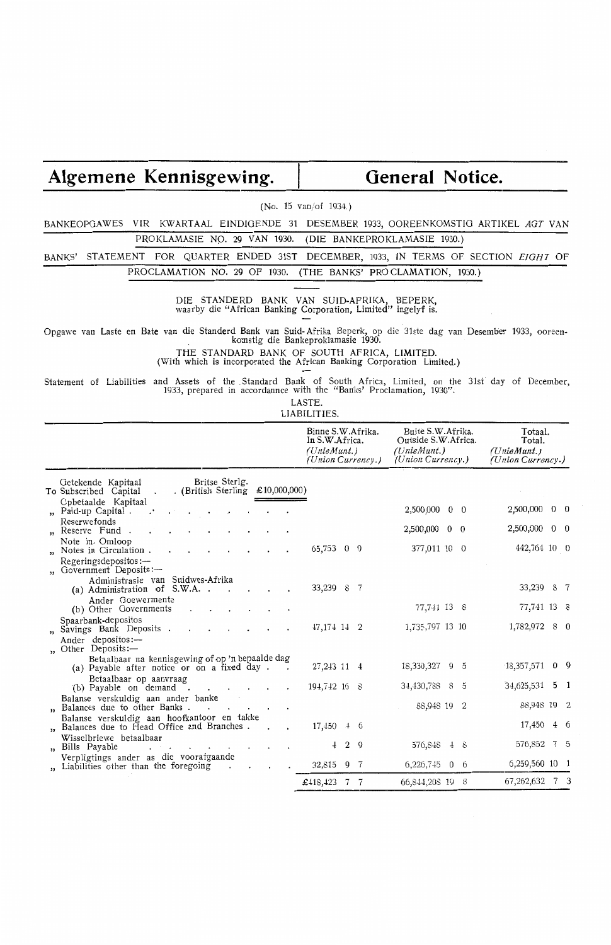# Algemene Kennisgewing. | General Notice.

(No. 15 van/of 1934.)

BANKEOPGAWES VIR KWARTAAL EINDIGENDE 31 DESEMBER 1933, OOREENKOMSTlG ARTIKEL *AGT* VAN PROKLAMASIE NO. 29 VAN 1930. (DIE BANKEPROKLAMASIE 1930.)

BANKS' STATEMENT FOR QUARTER ENDED 31ST DECEMBER, 1933, IN TERMS OF SECTION *EIGHT* OF PROCLAMATION NO. 29 OF 1930. (THE BANKS' PROCLAMATION, 1930.)

> DIE STANDERD BANK VAN SUID-AFRIKA, BEPERK, waarby die "African Banking Corporation, Limited" ingelyf is.

Opgawe van Laste en Bate van die Standerd Bank van Suid-Afrika Beperk, op die 31ste dag van Desember 1933, ooreen- . komstig die Bankeproklamasie 1930.

THE STANDARD BANK OF SOUTH AFRICA, LIMITED.

(With which is incorporated the African Banking Corporation Limited.)

Statement of Liabilities and Assets of the . Standard Bank of South Africa, Limited, on the 31st day of December, 1933, prepared in accordannce with the "Banks' Proclamation, 1930".

LASTE.

LIABILITIES.

|                                                                                                                             | In S.W.Africa.<br>(UnieMunt.) |            |                | Binne S.W.Afrika.<br>(Union Currency.) | Buite S.W. Afrika.<br>Outside S.W. Africa.<br>(UnieMunt.)<br>(Union Currency.) |   | Totaal.<br>Total.<br>(UnieMunt.)<br>(Union Currency.) |                |
|-----------------------------------------------------------------------------------------------------------------------------|-------------------------------|------------|----------------|----------------------------------------|--------------------------------------------------------------------------------|---|-------------------------------------------------------|----------------|
| Britse Sterlg.<br>Getekende Kapitaal<br>. (British Sterling £10,000,000)<br>To Subscribed Capital<br>$\ddot{\phantom{0}}$   |                               |            |                |                                        |                                                                                |   |                                                       |                |
| Opbetaalde Kapitaal<br>" Paid-up Capital.<br>$\cdot$                                                                        |                               |            |                |                                        | 2,500,000 0 0                                                                  |   | 2,500,000 0 0                                         |                |
| Reserwefonds<br>Reserve Fund.<br>$\cdot$                                                                                    |                               |            |                |                                        | 2,500,000 0 0                                                                  |   | 2,500,000 0 0                                         |                |
| Note in Omloop<br>" Notes in Circulation.                                                                                   | 65,753 0 0                    |            |                |                                        | 377,011 10 0                                                                   |   | 442,764 10 0                                          |                |
| Regeringsdepositos:-<br>" Government Deposits:-                                                                             |                               |            |                |                                        |                                                                                |   |                                                       |                |
| Administrasie van Suidwes-Afrika<br>(a) Administration of S.W.A<br>$\sim$                                                   | 33,239 8 7                    |            |                |                                        |                                                                                |   | 33,239 8 7                                            |                |
| Ander Goewermente<br>(b) Other Governments<br>$\sim 10^{-11}$                                                               |                               |            |                |                                        | 77,741 13 8                                                                    |   | 77,741 13 8                                           |                |
| Spaarbank-depositos<br>" Savings Bank Deposits.                                                                             | 47, 174 14 2                  |            |                |                                        | 1,735,797 13 10                                                                |   | 1,782,972 8 0                                         |                |
| Ander depositos:-<br>" Other Deposits:-                                                                                     |                               |            |                |                                        |                                                                                |   |                                                       |                |
| Betaalbaar na kennisgewing of op 'n bepaalde dag<br>(a) Payable after notice or on a fixed day.<br>$\overline{\phantom{a}}$ | 27,243 11 4                   |            |                |                                        | 18,330,327 9 5                                                                 |   | $18,357,571$ 0 9                                      |                |
| Betaalbaar op aanvraag<br>$(b)$ Payable on demand $\cdot$ $\cdot$ $\cdot$ $\cdot$                                           | 194,742 16 8                  |            |                |                                        | 34,430,788 8                                                                   | 5 | 34,625,531                                            | 5 <sub>1</sub> |
| Balanse verskuldig aan ander banke<br>" Balances due to other Banks.<br>$\mathbf{r}$<br><b>All Contracts</b><br>$\cdot$     |                               |            |                |                                        | 88,948 19 2                                                                    |   | 88,948 19 2                                           |                |
| Balanse verskuldig aan hoofkantoor en takke<br>" Balances due to Flead Office and Branches.<br>$\mathbf{r}$                 | $17,450$ 4 6                  |            |                |                                        |                                                                                |   | 17,450                                                | $4\quad 6$     |
| Wisselbriewe betaalbaar<br>" Bills Payable<br>$\cdot$ $\cdot$ $\cdot$ $\cdot$ $\cdot$                                       |                               | $\pm$      | 2 <sub>9</sub> |                                        | 576,848 4 8                                                                    |   | 576,852 7 5                                           |                |
| Verpligtings ander as die voorafgaande<br>" Liabilities other than the foregoing                                            |                               | 32,815 9 7 |                |                                        | $6,226,745$ 0 6                                                                |   | 6,259,560 10 1                                        |                |
|                                                                                                                             | £418,423 7 7                  |            |                |                                        | 66,844,208 19 8                                                                |   | 67, 262, 632 7 3                                      |                |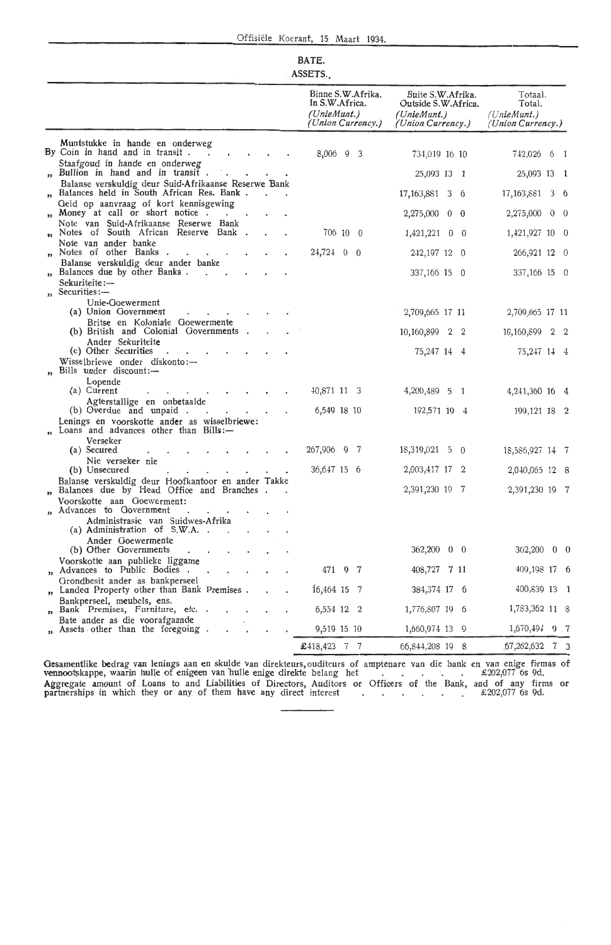#### **BATE.**  ASSETS.

|                                                                                                                | Binne S.W.Afrika.<br>In S.W.Africa.<br>(UnieMunt.)<br>(Union Currency.) | Buite S.W.Afrika.<br>Outside S.W. Africa.<br>(UnieMunt.)<br>(Union Currency.) | Totaal.<br>Total.<br>(UnieMunt.)<br>( <i>Union Currency.</i> ) |
|----------------------------------------------------------------------------------------------------------------|-------------------------------------------------------------------------|-------------------------------------------------------------------------------|----------------------------------------------------------------|
| Muntstukke in hande en onderweg<br>By Coin in hand and in transit.                                             | $8,006$ 9 3                                                             | 734,019 16 10                                                                 | 742,026 6<br>$\mathbf{1}$                                      |
| Staafgoud in hande en onderweg<br>" Bullion in hand and in transit.                                            |                                                                         | 25,093 13 1                                                                   | 25,093 13 1                                                    |
| Balanse verskuldig deur Suid-Afrikaanse Reserwe Bank<br>Balances held in South African Res. Bank.              |                                                                         | 17, 163, 881 3 6                                                              | 17,163,881<br>3 6                                              |
| Geld op aanvraag of kort kennisgewing<br>Money at call or short notice.<br>$\bullet$ .<br><br><br><br><br><br> |                                                                         | $2,275,000 \quad 0 \quad 0$                                                   | $2,275,000 \quad 0 \quad 0$                                    |
| Note van Suid-Afrikaanse Reserwe Bank<br>Notes of South African Reserve Bank.<br>$\bullet$                     | 706 10 0                                                                | 1,421,221<br>$0\quad 0$                                                       | 1,421,927 10 0                                                 |
| Note van ander banke                                                                                           |                                                                         | 242,197 12 0                                                                  |                                                                |
| Notes of other Banks<br>$\cdot$<br>Balanse verskuldig deur ander banke                                         | $24,724$ 0 0                                                            |                                                                               | 266,921 12 0                                                   |
| Balances due by other Banks.<br>Sekuriteite:—                                                                  |                                                                         | 337,166 15 0                                                                  | $337,166$ 15 0                                                 |
| " Securities:-<br>Unie-Goewerment<br>(a) Union Government                                                      |                                                                         | 2,709,665 17 11                                                               | 2,709,665 17 11                                                |
| Britse en Koloniale Goewermente<br>(b) British and Colonial Governments.                                       |                                                                         | 10,160,899<br>2<br>$^{\circ}2$                                                | 10,160,899 2 2                                                 |
| Ander Sekuriteite<br>(c) Other Securities                                                                      |                                                                         | 75,247 14 4                                                                   | 75,247 14 4                                                    |
| Wisselbriewe onder diskonto:—<br>" Bills under discount:-                                                      |                                                                         |                                                                               |                                                                |
| Lopende<br>(a) Current                                                                                         | 40,871 11 3                                                             | 4,200,489 5 1                                                                 | 4, 241, 360 16 4                                               |
| Agterstallige en onbetaalde<br>(b) Overdue and unpaid.<br>$\bullet$                                            | 6,549 18 10                                                             | 192,571 19 4                                                                  | 199, 121 18 2                                                  |
| Lenings en voorskotte ander as wisselbriewe:<br>Loans and advances other than $Bills:$                         |                                                                         |                                                                               |                                                                |
| Verseker<br>(a) Secured                                                                                        | 267,906 9 7                                                             | $18,319,021 \quad 5 \quad 0$                                                  | 18,586,927 14 7                                                |
| Nie verseker nie<br>(b) Unsecured                                                                              | 36,647 15 6                                                             | 2,003,417 17 2                                                                | 2,040,065 12 8                                                 |
| Balanse verskuldig deur Hoofkantoor en ander Takke<br>" Balances due by Head Office and Branches.              |                                                                         | 2,391,230 19 7                                                                | 2,391,230 19 7                                                 |
| Voorskotte aan Goewerment:<br>" Advances to Government                                                         |                                                                         |                                                                               |                                                                |
| $\cdot$<br>Administrasie van Suidwes-Afrika<br>(a) Administration of S.W.A. .                                  |                                                                         |                                                                               |                                                                |
| Ander Goewermente<br>(b) Other Governments                                                                     |                                                                         | 362,200 0 0                                                                   | 362,200 0 0                                                    |
| Voorskotte aan publieke liggame                                                                                |                                                                         |                                                                               | 409,198 17 6                                                   |
| " Advances to Public Bodies.<br>Grondbesit ander as bankperseel                                                | 471 9 7                                                                 | 408,727 7 11                                                                  |                                                                |
| Landed Property other than Bank Premises.<br>$\bullet$<br>Bankperseel, meubels, ens.                           | $16,464$ 15 7                                                           | 384,374 17 6                                                                  | 400,839 13 1                                                   |
| Bank Premises, Furniture, etc. .<br>,,<br>Bate ander as die voorafgaande                                       | 6,554 12 2                                                              | 1,776,807 19 6                                                                | 1,783,362 11 8                                                 |
| " Assets other than the foregoing.                                                                             | 9,519 15 10                                                             | 1,660,974 13 9                                                                | 1,670,494 9 7                                                  |
|                                                                                                                | $\pmb{1}3,423$ 7 7                                                      | 66, 844, 208 19 8                                                             | $.67,262,632$ 7 3                                              |

Gesamentlike bedrag van lenings aan en skulde van direkteurs, ouditeurs of amptenare van die bank en van enige firmas of vennootskappe, waarin hulle of enigeen van hulle enige direkte belang het . . . . . . . . £ 202,077 6s 9d. Aggregate amount of Loans to and Liabilities of Directors, Auditors or Officers of the Bank, and of any firms or partnerships in which they or any of them have any direct interest  $\therefore$   $\therefore$   $\therefore$   $\therefore$   $\therefore$   $\therefore$   $\therefore$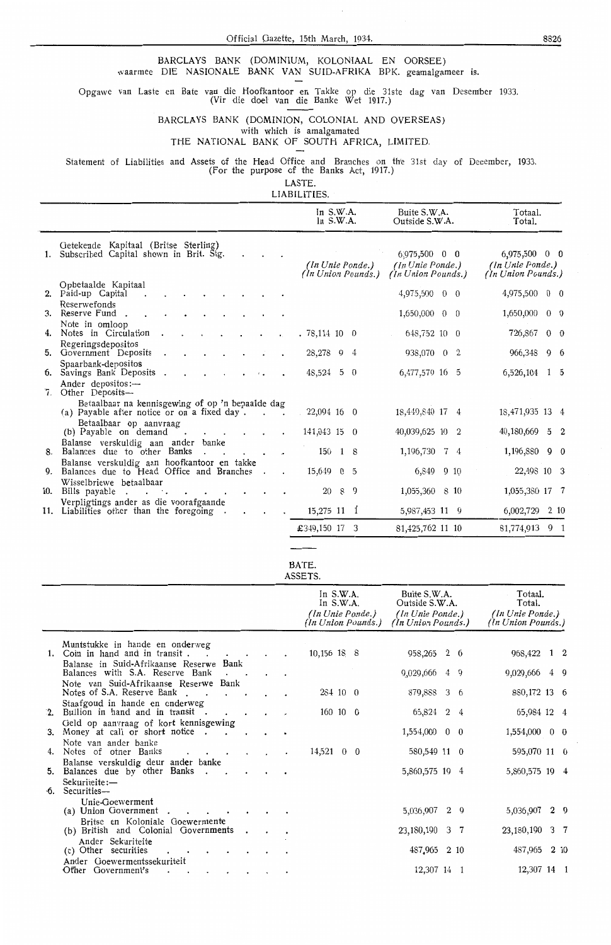Official Gazette, 15th March, 1934.

BARCLAYS BANK (DOMINIUM, KOLONIAAL EN OORSEE) waarmee DIE NASIONALE BANK VAN SUID-AFRIKA BPK. geamalgameer is.

Opgawe van Laste en Bate van die Hoofkantoor en Takke op die 31ste dag van Desember 1933. (Vir die doel van die Banke Wet 1917.)

BARCLAYS BANK (DOMINION, COLONIAL AND OVERSEAS) with which is amalgamated

#### THE NATIONAL BANK OF SOUTH AFRICA, LIMITED.

Statement of Liabilities and Assets of the Head Office and Branches on the 31st day of December, 1933.<br>(For the purpose of the Banks Act, 1917.)

LASTE.

LIABILITIES.

|                                                                                                                                 |                                                                                                                                                                                                                                                                                                                                    |                      |                                                                                                                                                                                                                        |              | Total.                                                                                                                                                                                                                                                                                                  |         |                                                                                                                                                                                                                                                   |
|---------------------------------------------------------------------------------------------------------------------------------|------------------------------------------------------------------------------------------------------------------------------------------------------------------------------------------------------------------------------------------------------------------------------------------------------------------------------------|----------------------|------------------------------------------------------------------------------------------------------------------------------------------------------------------------------------------------------------------------|--------------|---------------------------------------------------------------------------------------------------------------------------------------------------------------------------------------------------------------------------------------------------------------------------------------------------------|---------|---------------------------------------------------------------------------------------------------------------------------------------------------------------------------------------------------------------------------------------------------|
| Getekende Kapitaal (Britse Sterling)                                                                                            |                                                                                                                                                                                                                                                                                                                                    |                      |                                                                                                                                                                                                                        |              |                                                                                                                                                                                                                                                                                                         |         |                                                                                                                                                                                                                                                   |
| Opbetaalde Kapitaal                                                                                                             |                                                                                                                                                                                                                                                                                                                                    |                      |                                                                                                                                                                                                                        |              |                                                                                                                                                                                                                                                                                                         |         |                                                                                                                                                                                                                                                   |
| Reserwefonds                                                                                                                    |                                                                                                                                                                                                                                                                                                                                    |                      |                                                                                                                                                                                                                        |              | 1,650,000                                                                                                                                                                                                                                                                                               |         | $0\quad 0$                                                                                                                                                                                                                                        |
| Note in omloop                                                                                                                  |                                                                                                                                                                                                                                                                                                                                    |                      |                                                                                                                                                                                                                        |              |                                                                                                                                                                                                                                                                                                         |         |                                                                                                                                                                                                                                                   |
|                                                                                                                                 |                                                                                                                                                                                                                                                                                                                                    |                      |                                                                                                                                                                                                                        |              |                                                                                                                                                                                                                                                                                                         |         |                                                                                                                                                                                                                                                   |
| Spaarbank-depositos<br>Savings Bank Deposits                                                                                    |                                                                                                                                                                                                                                                                                                                                    |                      |                                                                                                                                                                                                                        |              |                                                                                                                                                                                                                                                                                                         |         |                                                                                                                                                                                                                                                   |
| Ander depositos: $-$<br>Other Deposits-                                                                                         |                                                                                                                                                                                                                                                                                                                                    |                      |                                                                                                                                                                                                                        |              |                                                                                                                                                                                                                                                                                                         |         |                                                                                                                                                                                                                                                   |
| Betaalbaar na kennisgewing of op 'n bepaalde dag                                                                                |                                                                                                                                                                                                                                                                                                                                    |                      |                                                                                                                                                                                                                        |              |                                                                                                                                                                                                                                                                                                         |         |                                                                                                                                                                                                                                                   |
| Betaalbaar op aanvraag<br>(b) Payable on demand<br>$\cdot$                                                                      |                                                                                                                                                                                                                                                                                                                                    |                      |                                                                                                                                                                                                                        |              |                                                                                                                                                                                                                                                                                                         |         |                                                                                                                                                                                                                                                   |
| Balanse verskuldig aan ander banke<br>Balances due to other Banks                                                               |                                                                                                                                                                                                                                                                                                                                    |                      |                                                                                                                                                                                                                        |              |                                                                                                                                                                                                                                                                                                         |         |                                                                                                                                                                                                                                                   |
| Balanse verskuldig aan hoofkantoor en takke                                                                                     |                                                                                                                                                                                                                                                                                                                                    |                      |                                                                                                                                                                                                                        |              |                                                                                                                                                                                                                                                                                                         |         |                                                                                                                                                                                                                                                   |
| Wisselbriewe betaalbaar<br>Bills payable<br>$\cdot$<br>$\mathbf{r}$ . The state $\mathbf{r}$<br>$\cdot$ $\cdot$ $\cdot$ $\cdot$ |                                                                                                                                                                                                                                                                                                                                    |                      |                                                                                                                                                                                                                        |              |                                                                                                                                                                                                                                                                                                         |         |                                                                                                                                                                                                                                                   |
| Verpligtings ander as die voorafgaande                                                                                          |                                                                                                                                                                                                                                                                                                                                    |                      |                                                                                                                                                                                                                        |              |                                                                                                                                                                                                                                                                                                         |         | 210                                                                                                                                                                                                                                               |
|                                                                                                                                 |                                                                                                                                                                                                                                                                                                                                    |                      |                                                                                                                                                                                                                        |              |                                                                                                                                                                                                                                                                                                         |         |                                                                                                                                                                                                                                                   |
|                                                                                                                                 | 1. Subscribed Capital shown in Brit. Stg.<br>2. Paid-up Capital<br>3. Reserve Fund.<br>4. Notes in Circulation<br>Regeringsdepositos<br>5. Government Deposits<br>б.<br>7.<br>(a) Payable after notice or on a fixed day.<br>8.<br>9. Balances due to Head Office and Branches.<br>10.<br>11. Liabilities other than the foregoing | 28,278 9<br>48,524 5 | In $S.W.A.$<br>In $S.W.A.$<br>(In Unie Ponde.)<br>(In Union Pounds.)<br>$.78,114$ 10 0<br>-4<br>- 0<br>22,094 16 0<br>141,043 15 0<br>$150 \quad 18$<br>15,649 0 5<br>20 8 9<br>$15,275$ 11 1<br>$\pmb{1}349,150$ 17 3 | Buite S.W.A. | Outside S.W.A.<br>6,975,500 0 0<br>(In Unie Ponde.)<br>(In Union Pounds.)<br>4,975,500 0 0<br>$1,650,000 \quad 0 \quad 0$<br>648,752 10 0<br>938,070 0 2<br>6,477,579 16 5<br>18,449,840 17 4<br>40,039,625 10 2<br>1,196,730 7 4<br>6,849 9 10<br>1,055,360 8 10<br>5,987,453 11 9<br>81,425,762 11 10 | Totaal. | $6,975,500$ 0 0<br>(In Unie Ponde.)<br>(In Union Pounds.)<br>4,975,500 0 0<br>726,867 0 0<br>966,348 9 6<br>$6,526,104$ 1 5<br>18,471,935 13 4<br>40,180,669 5 2<br>1,196,880 9 0<br>22,498 10 3<br>1,055,380 17 7<br>6,002,729<br>81,774,913 9 1 |

BATE. **ASSETS** 

|     |                                                                                          |           |         | In $S.W.A.$<br>In $S.W.A.$<br>(In Unie Ponde.)<br>(In Union Pounds.) | Buite S.W.A.<br>Outside S.W.A.<br>(In Unie Ponde.)<br>(In Union Pounds.) | Totaal.<br>Total.<br>(In Unie Ponde.)<br>(In Union Pounds.) |
|-----|------------------------------------------------------------------------------------------|-----------|---------|----------------------------------------------------------------------|--------------------------------------------------------------------------|-------------------------------------------------------------|
|     | Muntstukke in hande en onderweg                                                          |           |         |                                                                      |                                                                          |                                                             |
| 1.  | Coin in hand and in transit.<br>$\sim$                                                   |           |         | 10,156 18 8                                                          | 958,265 2 6                                                              | 968,422 1 2                                                 |
|     | Balanse in Suid-Afrikaanse Reserwe Bank<br>Balances with S.A. Reserve Bank               |           |         |                                                                      | 9,029,666 4 9                                                            | 9,029,666 4 9                                               |
|     | Note van Suid-Afrikaanse Reserwe Bank<br>Notes of S.A. Reserve Bank.<br>$\sim$           |           |         | 284 10 0                                                             | 879,888 3 6                                                              | 880, 172 13 6                                               |
| 2.  | Staafgoud in hande en onderweg<br>Bullion in hand and in transit.                        |           |         | $160 \t10 \t0$                                                       | 65,824 2 4                                                               | 65,984 12 4                                                 |
| 3.  | Geld op aanvraag of kort kennisgewing<br>Money at call or short notice.<br>$\sim$ $\sim$ |           |         |                                                                      | 1,554,000 0 0                                                            | 1,554,000 0 0                                               |
| 4.  | Note van ander banke<br>Notes of other Banks<br>$\cdot$ $\cdot$                          |           | $\cdot$ | $14,521 \quad 0 \quad 0$                                             | 580,549 11 0                                                             | 595,070 11 0                                                |
| 5.  | Balanse verskuldig deur ander banke<br>Balances due by other Banks.<br>$\sim$            |           |         |                                                                      | 5,860,575 19 4                                                           | 5,860,575 19 4                                              |
| ∙5. | Sekuriteite:-<br>Securities—                                                             |           |         |                                                                      |                                                                          |                                                             |
|     | Unie-Goewerment<br>(a) Union Government.<br>$\cdot$                                      |           |         |                                                                      | 5,036,907 2 9                                                            | 5,036,907 2 9                                               |
|     | Britse en Koloniale Goewermente<br>(b) British and Colonial Governments                  | $\bullet$ |         |                                                                      | 23,180,190 3 7                                                           | 23, 180, 190 3 7                                            |
|     | Ander Sekuriteite<br>(c) Other securities                                                |           |         |                                                                      | 487,965 2 10                                                             | 487,965 2 10                                                |
|     | Ander Goewermentssekuriteit<br>Other Government's                                        |           |         |                                                                      | 12,307 14 1                                                              | 12,307 14 1                                                 |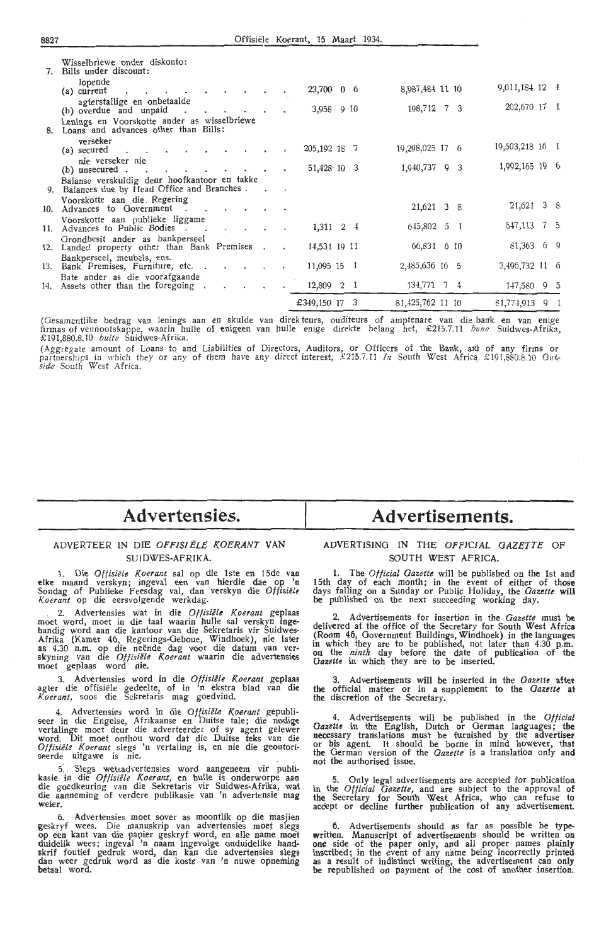| 8827                                                                                          |                  |           |                          |           | Offisiële Koerant, 15 Maart 1934. |  |                  |                 |  |
|-----------------------------------------------------------------------------------------------|------------------|-----------|--------------------------|-----------|-----------------------------------|--|------------------|-----------------|--|
| Wisselbriewe onder diskonto:<br>Bills under discount:<br>7.<br>lopende                        |                  |           |                          |           |                                   |  |                  |                 |  |
| (a) current                                                                                   |                  |           |                          |           | 23,700 0 6                        |  | 8,987,484 11 10  | 9,011,184 12 4  |  |
| agterstallige en onbetaalde<br>(b) overdue and unpaid<br>$\sim$ $\sim$                        |                  |           |                          |           | 3,958 9 10                        |  | 198,712 7 3      | 202,670 17 1    |  |
| Lenings en Voorskotte ander as wisselbriewe<br>Loans and advances other than Bills:           |                  |           |                          |           |                                   |  |                  |                 |  |
| verseker<br>(a) secured<br>$\cdot$                                                            |                  |           |                          |           | 205, 192 18 7                     |  | 19,298,025 17 6  | 19,503,218 16 1 |  |
| nie verseker nie<br>$(b)$ unsecured . $\blacksquare$<br>$\ddot{\phantom{0}}$                  |                  |           |                          |           | $51,428 \cdot 10 \cdot 3$         |  | 1,940,737 9 3    | 1,992,165 19 6  |  |
| Balanse verskuldig deur hoofkantoor en takke<br>9. Balances due by Flead Office and Branches. |                  |           |                          |           |                                   |  |                  |                 |  |
| Voorskotte aan die Regering<br>10. Advances to Government.                                    | $\sim$ 100 $\pm$ |           |                          |           |                                   |  | 21,621 3 8       | $21,621$ 3 8    |  |
| Voorskotte aan publieke liggame<br>11. Advances to Public Bodies.                             | $\sim$           | $\sim$    | $\overline{\phantom{a}}$ |           | $1,311 \quad 2 \quad 4$           |  | 645,802 5 1      | 647,113 7 5     |  |
| Grondbesit ander as bankperseel<br>12. Landed property other than Bank Premises.              |                  |           |                          |           | 14,531 19 11                      |  | 66,831 6 10      | $81,363$ 6 9    |  |
| Bankperseel, meubels, ens.<br>13. Bank Premises, Furniture, etc                               |                  |           |                          |           | 11,095 15 1                       |  | 2,485,636 16 5   | 2,496,732 11 6  |  |
| Bate ander as die voorafgaande<br>14. Assets other than the foregoing.                        |                  | $\bullet$ |                          | $\bullet$ | 12,809 2 1                        |  | 134,771 7 4      | $147,580$ 9 5   |  |
|                                                                                               |                  |           |                          |           | £349,150 17 3                     |  | 81,425,762 11 10 | 81,774,913 9 1  |  |

88827 Officers Koerant, 15 Maart 1934.

(Gesamentlike bedrag van lenings aan en skulde van direk teurs, ouditeurs of amptenare van die bank en van enige firmas of vennootskappe, waarin hulle of enigeen van hulle enige direkte belang het, £215.7.11 *bime* Suidwes-Afrika, £191,880.8.10 *buite* Suidwes-Afrika.

(Aggregate amount of Loans to and Liabilities of Directors, Auditors, or Officers of the Bank, and of any firms or<br>partnerships in which they or any of them have any direct interest, £215.7.11 In South West Africa £191,880 *side* South West Africa.

## **Advertensies.**

#### **ADVERTEER IN DIE OFF/S/ELE KOER'ANT VAN**  SU **!DWES-AFRIKA.**

**1.** Di-e *Oftisiele Koerant* **sal op** die **lste** en 15de vaa **elke maand verskyn;** ingeval **een van hierdie dae op 'n**  Sondag of **Publieke** Feesdag **val,** dan **verskyn die** *Offisitlt K.oerant* op die eersvolgende **werkdag.** 

. 2. Advertensies wat in die *Offisiele Koerant* **geplaas**  moet **word,** moet in die **taal waarin** hulle **sal verskyn inge**handig **word** aan die kantoor van die Sekretaris **vir Suidwes-Afrika** (Kamer 46, Regerings-Geboue, **Windhoek), nie later**  as 4.30 n.m. op die neënde dag voor die datum van ver-<br>skyning van die Offisiële Koerant waarin die advertensies moet geplaas word nie.

3. Advertensies word in die *Oftisiele Koerant* geplaas agter die offisiële gedeelte, of in 'n ekstra blad van die 3. Advertensies word in die Offisiële lagter die offisiële gedeelte, of in 'n ekstra<br>Koerant, soos die Sekretaris mag goedvind.

4. Advertensies word in die *Oftisiele Koerant* gepubli- seer in die Engelse, A frikaanse en Duitse tale; die nodige vertalinge moet deur die adverteerder of sy agent gelewer word. Dit moet onthou word dat die Duitse teks van die Offisiële Koerant slegs 'n vertaling is, en nie die geoutoriseerde uitgawe is nie

s: . S1egs wetsadvertensies word aangeneem vir publikasie in die *Offisiele K.oerant,* en hulle is onderworpe aan die goedkeuring van die Sekretaris vir Suidwes-Afrika, wat die aanneming of verdere publikasie van 'n advertensie mag weier.

6. Advertensies moet sover as moontlik op die masjien geskryf wees. Die manuskrip van advertensies moet slegs op een kant van die papier geskryf word, en alle name moet duidelik wees; ingeval 'n naam ingevolge onduidelike handskrif foutief gedruk word, dan kan die advertensies slegs<br>dan weer gedruk word as die koste van 'n nuwe opneming betaal word

# **Advertisements.**

#### ADVERTISING IN THE OFFICIAL GAZETTE OF SOUTH WEST AFRICA.

**1.** The *Official Gazette* will be published on the 1st and 15th day of each month; in the event of either of those days falling on a Sunday or Public Holiday, the *Gazette* **will be** published on the next succeeding working day.

2. Advertisements for insertion in the *Gazette* must **be**  delivered at the office of the Secretary for South West **Africa**  (Room 46, Government Buildings, Windhoek) in the languages in which they are to be published, not later than 4.30 p.m. on the *ninth* day before the date of publication of the *Gazette* in· which they are to be inserted.

3. Advertisements will be inserted in the *Gazette* after the official matter or in a supplement to the *Gazette* at the discretion of the Secretary.

4. Advertisements will be published in the *Official* Gazette in the English, Dutch or German languages; the necessary translations must be furnished by the advertiser or his agent. It should be borne in mind however, that the German version of the *Gazette* is a translation only and not the authorised issue.

5. Only legal advertisements are accepted for publication in the *Official Gazette,* and are subject to the approval of the Secretary for South West Africa, who can refuse to accept or decline further publication of any advertisemeat.

6. Advertisements should as far as possible be typewritten. Manuscript of advertisements should be written on one side of the paper only, and all proper names plainly inscribed; in the event of any name being incorrectly printed as a result of indistinct writing, the advertisement can only be republished on payment of the cost of another insertion.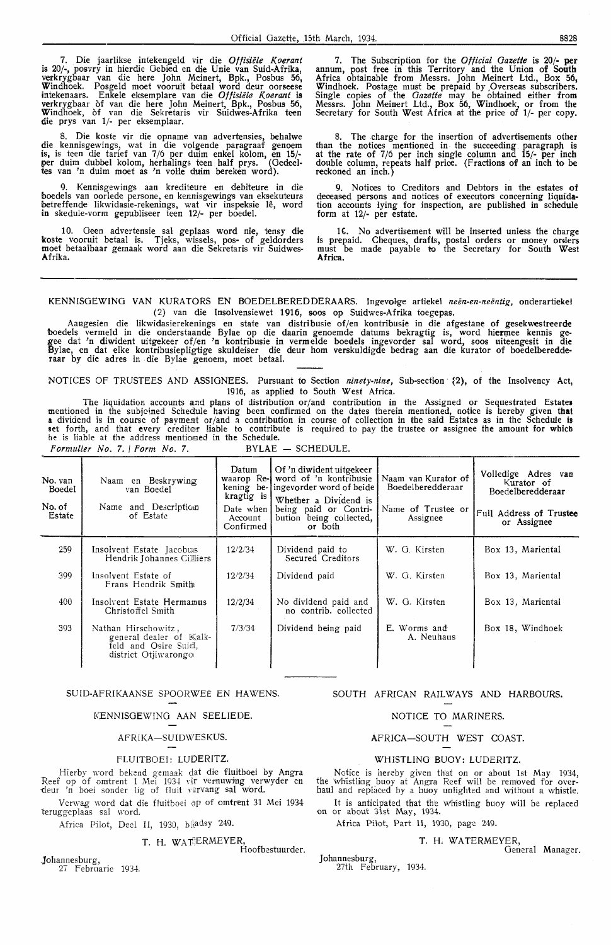7. Die jaarlikse intekengeld vir die *Offisiete Koerant*  is 20/-, posvry in hierdie Oebied en die Unie van Suid-Afrika, verkrygbaar van die here John Meinert, Bpk., Posbus 56, Windhoek. Posgeld moet vooruit betaal word deur oorseese<br>intekenaars. Enkele eksemplare van die *Offisiële Koerant* is verkrygbaar of van die here John Meinert, Bpk., Posbus 56, Windhoek, of van die Sekretaris vir Suidwes-Afrika teen die prys van 1/- per eksemplaar.

8. Die koste vir die opname van advertensies, behalwe die kennisgewings, wat in die volgende paragraaf genoem is, is teen die tarief van 7/6 per duim enkel kolom, en 15/ **per** duim dubbel kolom, herhalings teen half prys. (Oedeel-**tes** van 'n duim moet as 'n volle duim bereken word).

9. Kennisgewings aan krediteure en debiteure in die boedels van oorlede persone, en kennisgewings van eksekuteurs betreffende likwidasie-rekenings, wat vir inspeksie lê, word **in** skedule-vorm gepubliseer teen 12/- per boedel.

10. Geen advertensie sal geplaas word nie, tensy die koste vooruit betaal is. Tjeks, wissels, pos- of geldorders moet betaalbaar gernaak word aan die Sekretaris vir Suidwes-**A.frika.** 

7. The Subscription for the *Official Gazette* is 20/- per annum, post free in this Territory and the Union of South Africa obtainable from Messrs. John Meinert Ltd., Box 56, Windhoek. Postage must be prepaid by ,Overseas subscribers. Single copies of the *Gazette* may be obtained either from Messrs. John Meinert Ltd., Box 56, Windhoek, or from the Secretary for South West Africa at the price of 1/- per copy.

8. The charge for the insertion of advertisements other than the notices mentioned in the succeeding paragraph is at the rate of 7/6 per inch single column and 15/- per inch double column, repeats half price. (Fractions of an inch to be reckoned an inch.)

9. Notices to Creditors and Debtors in the estates of deceased persons and notices of executors concerning liquidation accounts lying for inspection, are published in schedule form at 12/- per estate.

1 C. No advertisement will be inserted unless the charge is prepaid. Cheques, drafts, postal orders or money oraers must be made payable to the Secretary for South West Africa.

#### KENNISGEWING VAN KURATORS EN BOEDELBEREDDERAARS. Ingevolge artiekel neën-en-neëntig, onderartiekel (2) van die Insolvensiewet 1916, soos op Suidwes-Afrika toegepas.

Aangesien die likwidasierekenings en state van distribusie of/en kontribusie in die afgestane of gesekwestreerde boedels vermeld in die onderstaande Bylae op die daarin genoemde datums bekragtig is, word hi**er**mee kennis gegee dat 'n diwident uitgekeer of/en 'n kontribusie in vermelde boeaels ingevorder sal word, soos uiteengesit in die Bylae, en dat elke kontribusiepligtige skuldeiser die deur horn verskuldigde bedrag aan die kurator of boedelberedderaar by die adres in die Bylae genoem, moet betaal.

NOTICES OF TRUSTEES AND ASSIGNEES. Pursuant to Section *ninety-nine,* Sub-section ~2), of the Insolvency Act, 1916, as applied to South West Africa.

The liquidation accounts and plans of distribution or/and contribution in the Assigned or Sequestrated Estates mentioned in the subjclned Schedule having been confirmed on the dates therein mentioned, notice is hereby given **that a** dividend is in course of payment or/and a contribution in course of collection in the said Estates as in the Schedule is 1et forth, and that every creditor liable to contribute is required to pay the trustee or assignee the amount for which he is liable at the address mentiomed in the Schedule. *Formulier No. 7.* | *Form No. 7.* BYLAE - SCHEDULE.

| No. van<br>Boedel<br>No. of<br>Estate | Naam en Beskrywing<br>van Boedel<br>Name and Description<br>of Estate                          | Datum<br>waarop Re-l<br>kragtig is<br>Date when l<br>Account<br>Confirmed | Of 'n diwident uitgekeer<br>word of 'n kontribusie<br>kening be-lingevorder word of beide<br>Whether a Dividend is<br>being paid or Contri-<br>bution being collected,<br>or both | Naam van Kurator of<br>Boedelberedderaar<br>Name of Trustee or<br>Assignee | Volledige Adres van<br>Kurator of<br><b>Boedelberedderaar</b><br>Full Address of Trustee<br>or Assignee |
|---------------------------------------|------------------------------------------------------------------------------------------------|---------------------------------------------------------------------------|-----------------------------------------------------------------------------------------------------------------------------------------------------------------------------------|----------------------------------------------------------------------------|---------------------------------------------------------------------------------------------------------|
| 259                                   | Insolvent Estate Jacobus<br>Hendrik Johannes Cilliers                                          | 12/2/34                                                                   | Dividend paid to<br>Secured Creditors                                                                                                                                             | W. G. Kirsten                                                              | Box 13, Mariental                                                                                       |
| 399                                   | Insolvent Estate of<br>Frans Hendrik Smith                                                     | 12/2/34                                                                   | Dividend paid                                                                                                                                                                     | W. G. Kirsten                                                              | Box 13, Mariental                                                                                       |
| 400                                   | Insolvent Estate Hermamus<br>Christoffel Smith                                                 | 12/2/34                                                                   | No dividend paid and<br>no contrib. collected                                                                                                                                     | W. G. Kirsten                                                              | Box 13, Mariental                                                                                       |
| 393                                   | Nathan Hirschowitz,<br>general dealer of Kalk-<br>feld and Osire Suid,<br>district Otjiwarongo | 7/3/34                                                                    | Dividend being paid                                                                                                                                                               | E. Worms and<br>A. Neuhaus                                                 | Box 18, Windhoek                                                                                        |

#### SUID-AFRIKAANSE SPOORWEE EN HAWENS. SOUTH AFRICAN RAILWAYS AND HARBOURS.

#### KENNISOEWINO AAN SEELIEDE.

#### AFRIKA-SU!DWESKUS.

#### FLUITBOEI: LUDERITZ.

Hierby word bekend gemaak dat die fluitboei by Angra Reef op of omtrent 1 Mei 1934 vir vernuwing verwyder en deur 'n boei sonder lig of fluit vervang sal word.

Verwag word dat die fluitboei op of omtrent 31 Mei 1934 teruggeplaas sal word.

Africa Pilot, Deel II, 1930, bladsy 249.

#### T. H. WATERMEYER,

Hoofbestuurder.

Johannesburg, 27 Februarie 1934.

#### NOTICE TO MARINERS.

#### AFRICA-SOUTH WEST COAST.

#### WHISTLING BUOY: LUDERITZ.

Notice is hereby given that on or about 1st May 1934, the whistling buoy at Angra Reef will be removed for over-<br>haul and replaced by a buoy unlighted and without a whistle.

It is anticipated that the whistling buoy will be replaced on or about 31st May, 1934.

Africa Pilot, Part II, 1930, page 249.

#### T. H, WATERMEYER,

Johannesburg, 27th February, 1934.

General Manager.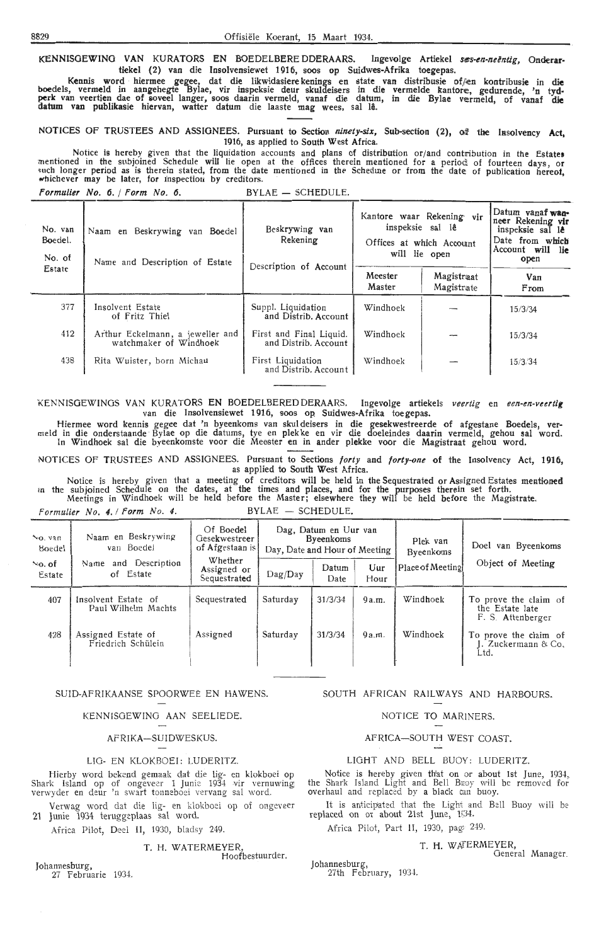KENNISGEWING VAN KURATORS EN BOEDELBERE DDERAARS. Ingevolge Artiekel ses-en-neëntig, Onderartiekel (2) van die Insolvensiewet 1916, soos op Suidwes-Afrika toegepas.

Kennis word hiermee gegce, dat die likwidasiere kenings en state van distribusie of/<en kontribusie in **die**  boedels, vermeld in aangehegte Bylae, vir inspeksie deur skuldeisers in die vermelde kantore, gedurende, 'n tyd<br>perk van veertien dae of soveel langer, soos daarin vermeld, vanaf die datum, in die Bylae vermeld, of vanaf d datum van publikasie hiervan, watter datum die laaste mag wees, sal la. '

NOTICES OF TRUSTEES AND ASSIGNEES. Pursuant to Section *ninety-six*, Sub-section (2), of the Insolvency Act, 1916, as applied to South West Africa.

Notice is hereby given that the liquidation accounts and plans of distribution or/and contribution in the **Estates**  mentioned in the subjoined Schedule will lie open at the offices therein mentioned for a period of fourteen days, or<br>such longer period as is therein stated, from the date mentioned in the Schedule or from the date of publ

Formulier No. 6. / Form No. 6. BYLAE - SCHEDULE.

| No. van<br>Boedel.<br>No. of | Naam en Beskrywing van<br>Boedel<br>Name and Description of Estate | Beskrywing van<br>Rekening<br>Description of Account |                   | Kantore waar Rekening vir<br>inspeksie sal lê<br>Offices at which Account<br>will lie open | Datum yanaf wan-<br>neer Rekening vir<br>inspeksie sal le<br>Date from which<br>Account will lie<br>open |
|------------------------------|--------------------------------------------------------------------|------------------------------------------------------|-------------------|--------------------------------------------------------------------------------------------|----------------------------------------------------------------------------------------------------------|
| Estate                       |                                                                    |                                                      | Meester<br>Master | Magistraat<br>Magistrate                                                                   | Van<br>From                                                                                              |
| 377                          | Insolvent Estate<br>of Fritz Thiel                                 | Suppl. Liquidation<br>and Distrib. Account           | Windhoek          |                                                                                            | 15/3/34                                                                                                  |
| 412                          | Arthur Eckelmann, a jeweller and<br>watchmaker of Windhoek         | First and Final Liquid.<br>and Distrib. Account      | Windhoek          |                                                                                            | 15/3/34                                                                                                  |
| 438                          | Rita Wuister, born Michau                                          | First Liquidation<br>and Distrib. Account            | Windhoek          |                                                                                            | 15/3/34                                                                                                  |

'K ENNISGEWINGS VAN KURATORS EN BOEDELBEREDDERAARS. Ingevolge arUekels *veertig* en *een-en-veertig*  van die lnsolvensiewet 1916, soos op Suidwes-Afrika toe gepas.

Hiermee word kennis gegee dat ' n byeenkoms van skul deisers in die gesekwestreerde of afgestane Boedels, ver- meld in die onderstaande Bylae op die datums, tye en plekke en vir die doeleindes daarin vermeld, gehou sal word. In Windhoek sal die byeenkomste voor die Meester en in antler plekke voor die Magistraat gehou word.

NOTICES OF TRUSTEES AND ASSIGNEES. Pursuant to Sections forty and forty-one of the Insolvency Act, 1916, as applied to South West Africa.

Notice is hereby given that a meeting of creditors will be held in the Sequestrated or Assigned Estates mentioned in the subjoined Schedule on the dates, at the times and places, and for the purposes therein set forth. Meetings in Windhoek will be held before the Master; elsewhere they will be held before the Magistrate.

Formulier No. 4. *I* Form No. 4. BYLAE - SCHEDULE.

| $Na$ . van<br>Boedel  | Naam en Beskrywing<br>van Boedel           | Of Boedel<br>Gesekwestreer<br>of Afgestaan is | Dag, Datum en Uur van<br><b>Byeenkoms</b><br>Day, Date and Hour of Meeting |               |       | Plek van<br><b>Byeenkoms</b> | Doel van Byeenkoms                                            |
|-----------------------|--------------------------------------------|-----------------------------------------------|----------------------------------------------------------------------------|---------------|-------|------------------------------|---------------------------------------------------------------|
| $\infty$ of<br>Estate | and Description<br>Name<br>of Estate       | Whether<br>Assigned or<br>Sequestrated        | $\text{Dag}/\text{Day}$                                                    | Datum<br>Date |       | Place of Meeting             | Object of Meeting                                             |
| 407                   | Insolvent Estate of<br>Paul Wilhelm Machts | Sequestrated                                  | Saturday                                                                   | 31/3/34       | 9a.m. | Windhoek                     | To prove the claim of<br>the Estate late<br>F. S. Attenberger |
| 428                   | Assigned Estate of<br>Friedrich Schülein   | Assigned                                      | Saturday                                                                   | 31/3/34       | 9a.m. | Windhoek                     | To prove the claim of<br>I. Zuckermann & Co.<br>Ltd.          |

#### SUID-AFRIKAANSE SPOORWEE EN HAWENS.

#### KENNISOEWINO AAN SEELIEDE.

#### AFRIKA-SUIDWESKUS.

#### LIO- EN KLOKBOEI: LUDERITZ.

Hierby word bekend gemaak dat die lig- en klokboei op Shark Island op of ongeveer 1 Junie 1934 vir vernuwing verwyder en deur 'n svvart tonneboei vervang sal word.

Verwag word dat die lig- en klokboei op of ongeveer 21 Junie 1934 teruggeplaas sal word.

Africa Pilot, Deel II, 1930, bladsy 249.

#### T. H. WATERMEYER,

Hoofbestuurder.

Johannesburg, 27 Februarie 1934.

#### SOUTH AFRICAN RAILWAYS AND HARBOURS.

NOTICE TO MARINERS.

AFRICA-SOUTH WEST COAST.

#### LIGHT AND BELL BUOY: LUDERITZ.

Notice is hereby given that on or about 1st June, 1934, the Shark Island Light and Bell B1c0y will be removed for overhaul and replaced by a black can buoy.

It is anticipated that the Light and Bell Buoy will be replaced on or about 21st June, 1934.

### Africa Pilot, Part II, 1930, pag: 249.

#### T. H. W AfERMEYER,

General Manager.

Johannesburg, 27th February, 1934.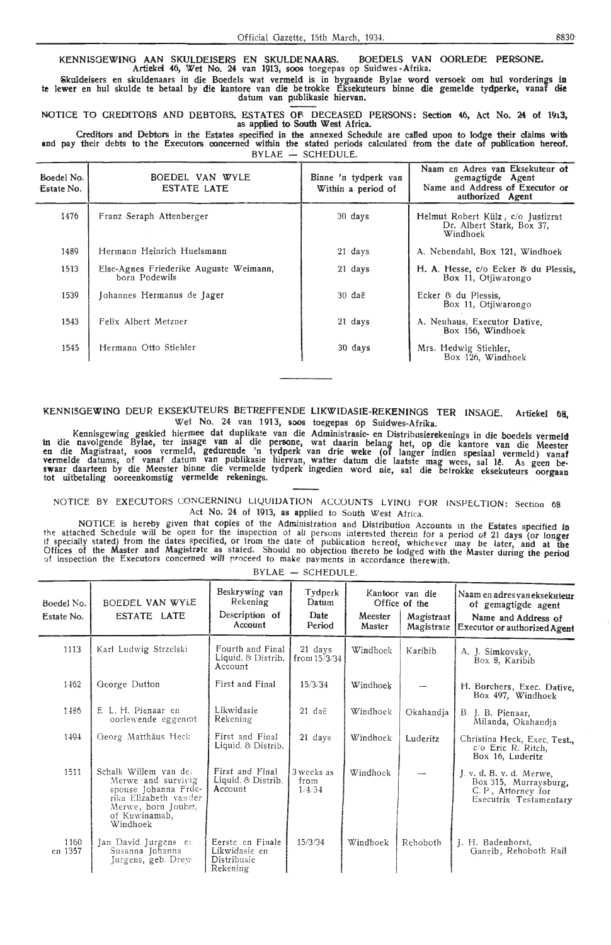#### KENNISGEWINO AAN SKULDEISERS EN SKULDENAARIS. BOEDELS VAN OORLEDE PERSONE. Artiekei 46, Wet No. 24 van 1913, soos toegepas op Suidwes -Afrika.

~kuldeisers en skuldenaars in die Boedels wat vermeld is in bygaande Bylae word versoek om hul vorderings **in**  te !ewer en hul skulde te betaal by die kantore van die be trokke Eksekuteurs binne die gemelde tydperke, vanaf **die**  datum van publikasie hiervan.

NOTICE TO CREDITORS AND DEBTORS. ESTATES OF DECEASED PERSONS: Section 46, Act No. 24 of 1913, as applied to South West Africa.

Creditors and Debtors in the Estates specified in the annexed Schedule are called upon to lodge their claims with **and** pay their debts to the Executors ooncemed within the stated periods calculated from the date of publication hereof.  $BYLAE$  - SCHEDULE.

| Boedel No.<br>Estate No. | BOEDEL VAN WYLE<br><b>ESTATE LATE</b>                   | Binne 'n tydperk van<br>Within a period of | Naam en Adres van Eksekuteur of<br>gemagtigde Agent<br>Name and Address of Executor or<br>authorized Agent |
|--------------------------|---------------------------------------------------------|--------------------------------------------|------------------------------------------------------------------------------------------------------------|
| 1476                     | Franz Seraph Attenberger                                | 30 days                                    | Helmut Robert Külz, c/o Justizrat<br>Dr. Albert Stark, Box 37,<br>Windhoek                                 |
| 1489                     | Hermann Heinrich Huelsmann                              | 21 days                                    | A. Nebendahl, Box 121, Windhoek                                                                            |
| 1513                     | Else-Agnes Friederike Auguste Weimann,<br>horn Podewils | 21 days                                    | H. A. Hesse, c/o Ecker & du Plessis.<br>Box 11, Otiiwarongo                                                |
| 1539                     | Johannes Hermanus de Jager                              | $30 \text{ da}$ ë                          | Ecker $\&$ du Plessis,<br>Box 11, Otiiwarongo                                                              |
| 1543                     | Felix Albert Metzner                                    | 21 days                                    | A. Neuhaus, Executor Dative,<br>Box 156, Windhoek                                                          |
| 1545                     | Hermann Otto Stiehler                                   | 30 days                                    | Mrs. Hedwig Stiehler,<br>Box 126, Windhoek                                                                 |

#### KENNI50EWINO DEUR EKSEKUTEURS BETREFFENDE LIKWIDASIE-REKENINOS TER INSAGE. Artiekel **flS,**  Wet No. 24 van 1913, soos toegepas 6p Suidwes-Afrika.

Kennisgewing geskied hiermee dat duplikate van die Administrasie- en Distribusierekenings in die boedels vermeld in aie navolgende Bylae, ter im,age van al die persone, wat daarin belang het, op die kantore van die Meester **en** die Magistraat, soos vermeld, gedurende 'n tydperk van drie weke (of !anger indien spesiaal vermeld) vanaf vermelde datums, of vanaf datum van publikasie hiervan, watter datum die laatste mag wees, sal lê. As geen be-<br>swaar daarteen by die Meester binne die vermelde tydperk ingedien word nie, sal die betrokke eksekuteurs oorgaa

NOTICE BY EXECUTORS CONCERNING LIQUIDATION ACCOUNTS LYING FOR INSPECTION: Section 68 Act No. 24 of 1913, as applied to South West Africa.

NOTICE is hereby given that copies of the Administration and Distribution Accounts m the Estates specified **In** the attached Schedule will be open for the inspection of all persons interested therein for a period of 21 days (or longer<br>if specially stated) from the dates specified, or from the date of publication hereof, whichever ma Offices of the Master and Magistrate as stated. Should no objection thereto be lodged with the Master during the period<br>of inspection the Executors concerned will proceed to make payments in accordance therewith.

| Boedel No.<br>Estate No. | BOEDEL VAN WYLE<br>ESTATE LATE                                                                                                                   | Beskrywing van<br>Rekening<br>Description of<br>Account      | Tydperk<br>Datum<br>Date<br>Period | Meester<br>Master | Kantoor van die<br>Office of the<br>Magistraat<br>Magistrate | Naam en adres van eksekuteur<br>of gemagtigde agent<br>Name and Address of<br>Executor or authorized Agent |
|--------------------------|--------------------------------------------------------------------------------------------------------------------------------------------------|--------------------------------------------------------------|------------------------------------|-------------------|--------------------------------------------------------------|------------------------------------------------------------------------------------------------------------|
| 1113                     | Karl Ludwig Strzelski                                                                                                                            | Fourth and Final<br>Liquid. & Distrib.<br>Account            | 21 days<br>from $15/3/34$          | Windhoek          | Karibib                                                      | A. J. Simkovsky,<br>Box 8, Karibib                                                                         |
| 1462                     | George Dutton                                                                                                                                    | First and Final                                              | 15/3/34                            | Windhoek          |                                                              | H. Borchers, Exec. Dative,<br>Box 497, Windhoek                                                            |
| 1486                     | E L. H. Pienaar en<br>oorlewende eggen@t                                                                                                         | Likwidasie<br>Rekening                                       | 21 daë                             | Windhoek          | Okahandja                                                    | B. J. B. Pienaar,<br>Milanda, Okahandia                                                                    |
| 1494                     | Georg Matthäus Heck                                                                                                                              | First and Final<br>Liquid. & Distrib.                        | 21 days                            | Windhoek          | Luderitz                                                     | Christina Heck, Exec. Test.,<br>$c$ $\sigma$ Eric R. Ritch,<br>Box 16, Luderitz                            |
| 1511                     | Schalk Willem van de:<br>Merwe and survivig<br>spouse Johanna Frde-<br>rika Elizabeth vander<br>Merwe, born Joubet,<br>of Kuwinamab,<br>Windhoek | First and Final<br>Liquid. $&$ Distrib.<br>Account           | 3 weeks as<br>from<br>1/4/34       | Windhoek          |                                                              | J. v. d. B. v. d. Merwe,<br>Box 315, Murraysburg,<br>C.P., Attorney for<br>Executrix Testamentary          |
| 1160<br>en 1357          | Jan David Jurgens en<br>Susanna Johanna<br>Jurgens, geb. Drew                                                                                    | Eerste en Finale<br>Likwidasie en<br>Distribusie<br>Rekening | 15/3/34                            | Windhoek          | Rehoboth                                                     | J. H. Badenhorst,<br>Ganeib, Rehoboth Rail                                                                 |

BYLAE - SCHEDULE.